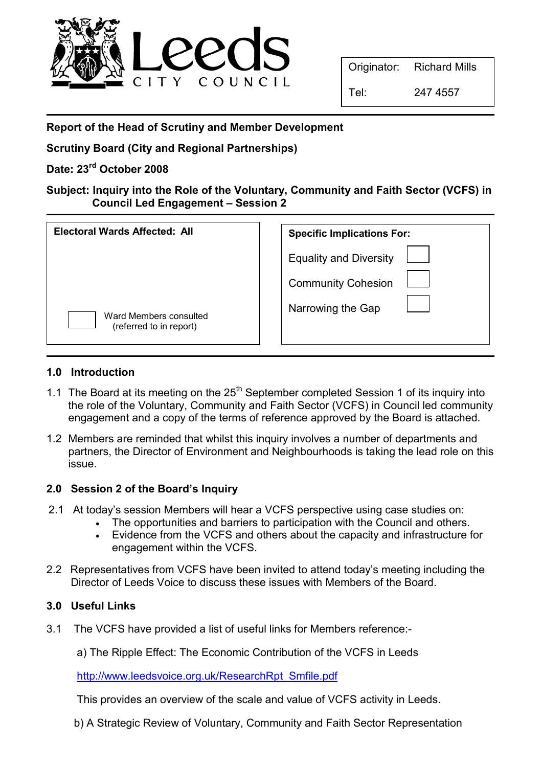

Originator: Richard Mills

Tel: 247 4557

Report of the Head of Scrutiny and Member Development

Scrutiny Board (City and Regional Partnerships)

# Date: 23<sup>rd</sup> October 2008

Subject: Inquiry into the Role of the Voluntary, Community and Faith Sector (VCFS) in Council Led Engagement – Session 2

| <b>Electoral Wards Affected: All</b>              | <b>Specific Implications For:</b>                          |
|---------------------------------------------------|------------------------------------------------------------|
|                                                   | <b>Equality and Diversity</b><br><b>Community Cohesion</b> |
| Ward Members consulted<br>(referred to in report) | Narrowing the Gap                                          |

### 1.0 Introduction

- 1.1 The Board at its meeting on the  $25<sup>th</sup>$  September completed Session 1 of its inquiry into the role of the Voluntary, Community and Faith Sector (VCFS) in Council led community engagement and a copy of the terms of reference approved by the Board is attached.
- 1.2 Members are reminded that whilst this inquiry involves a number of departments and partners, the Director of Environment and Neighbourhoods is taking the lead role on this issue.

# 2.0 Session 2 of the Board's Inquiry

- 2.1 At today's session Members will hear a VCFS perspective using case studies on:
	- The opportunities and barriers to participation with the Council and others.
	- Evidence from the VCFS and others about the capacity and infrastructure for engagement within the VCFS.
- 2.2 Representatives from VCFS have been invited to attend today's meeting including the Director of Leeds Voice to discuss these issues with Members of the Board.

# 3.0 Useful Links

- 3.1 The VCFS have provided a list of useful links for Members reference:
	- a) The Ripple Effect: The Economic Contribution of the VCFS in Leeds

http://www.leedsvoice.org.uk/ResearchRpt\_Smfile.pdf

This provides an overview of the scale and value of VCFS activity in Leeds.

b) A Strategic Review of Voluntary, Community and Faith Sector Representation